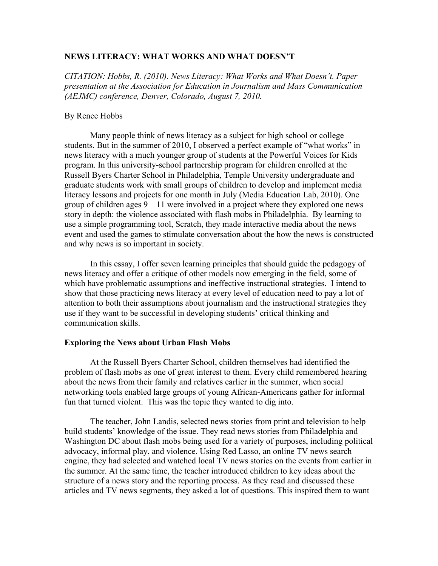## **NEWS LITERACY: WHAT WORKS AND WHAT DOESN'T**

*CITATION: Hobbs, R. (2010). News Literacy: What Works and What Doesn't. Paper presentation at the Association for Education in Journalism and Mass Communication (AEJMC) conference, Denver, Colorado, August 7, 2010.*

# By Renee Hobbs

Many people think of news literacy as a subject for high school or college students. But in the summer of 2010, I observed a perfect example of "what works" in news literacy with a much younger group of students at the Powerful Voices for Kids program. In this university-school partnership program for children enrolled at the Russell Byers Charter School in Philadelphia, Temple University undergraduate and graduate students work with small groups of children to develop and implement media literacy lessons and projects for one month in July (Media Education Lab, 2010). One group of children ages 9 – 11 were involved in a project where they explored one news story in depth: the violence associated with flash mobs in Philadelphia. By learning to use a simple programming tool, Scratch, they made interactive media about the news event and used the games to stimulate conversation about the how the news is constructed and why news is so important in society.

In this essay, I offer seven learning principles that should guide the pedagogy of news literacy and offer a critique of other models now emerging in the field, some of which have problematic assumptions and ineffective instructional strategies. I intend to show that those practicing news literacy at every level of education need to pay a lot of attention to both their assumptions about journalism and the instructional strategies they use if they want to be successful in developing students' critical thinking and communication skills.

## **Exploring the News about Urban Flash Mobs**

At the Russell Byers Charter School, children themselves had identified the problem of flash mobs as one of great interest to them. Every child remembered hearing about the news from their family and relatives earlier in the summer, when social networking tools enabled large groups of young African-Americans gather for informal fun that turned violent. This was the topic they wanted to dig into.

The teacher, John Landis, selected news stories from print and television to help build students' knowledge of the issue. They read news stories from Philadelphia and Washington DC about flash mobs being used for a variety of purposes, including political advocacy, informal play, and violence. Using Red Lasso, an online TV news search engine, they had selected and watched local TV news stories on the events from earlier in the summer. At the same time, the teacher introduced children to key ideas about the structure of a news story and the reporting process. As they read and discussed these articles and TV news segments, they asked a lot of questions. This inspired them to want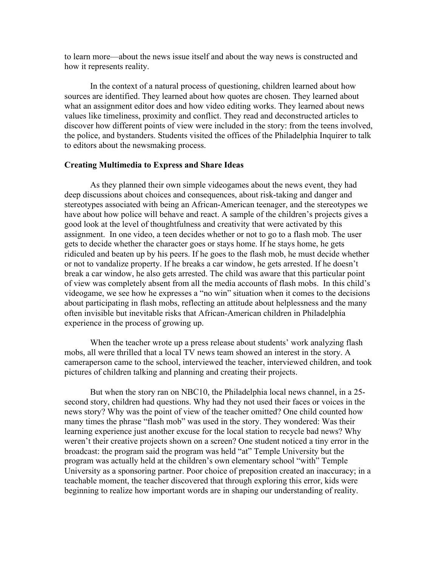to learn more—about the news issue itself and about the way news is constructed and how it represents reality.

In the context of a natural process of questioning, children learned about how sources are identified. They learned about how quotes are chosen. They learned about what an assignment editor does and how video editing works. They learned about news values like timeliness, proximity and conflict. They read and deconstructed articles to discover how different points of view were included in the story: from the teens involved, the police, and bystanders. Students visited the offices of the Philadelphia Inquirer to talk to editors about the newsmaking process.

### **Creating Multimedia to Express and Share Ideas**

As they planned their own simple videogames about the news event, they had deep discussions about choices and consequences, about risk-taking and danger and stereotypes associated with being an African-American teenager, and the stereotypes we have about how police will behave and react. A sample of the children's projects gives a good look at the level of thoughtfulness and creativity that were activated by this assignment. In one video, a teen decides whether or not to go to a flash mob. The user gets to decide whether the character goes or stays home. If he stays home, he gets ridiculed and beaten up by his peers. If he goes to the flash mob, he must decide whether or not to vandalize property. If he breaks a car window, he gets arrested. If he doesn't break a car window, he also gets arrested. The child was aware that this particular point of view was completely absent from all the media accounts of flash mobs. In this child's videogame, we see how he expresses a "no win" situation when it comes to the decisions about participating in flash mobs, reflecting an attitude about helplessness and the many often invisible but inevitable risks that African-American children in Philadelphia experience in the process of growing up.

When the teacher wrote up a press release about students' work analyzing flash mobs, all were thrilled that a local TV news team showed an interest in the story. A cameraperson came to the school, interviewed the teacher, interviewed children, and took pictures of children talking and planning and creating their projects.

But when the story ran on NBC10, the Philadelphia local news channel, in a 25 second story, children had questions. Why had they not used their faces or voices in the news story? Why was the point of view of the teacher omitted? One child counted how many times the phrase "flash mob" was used in the story. They wondered: Was their learning experience just another excuse for the local station to recycle bad news? Why weren't their creative projects shown on a screen? One student noticed a tiny error in the broadcast: the program said the program was held "at" Temple University but the program was actually held at the children's own elementary school "with" Temple University as a sponsoring partner. Poor choice of preposition created an inaccuracy; in a teachable moment, the teacher discovered that through exploring this error, kids were beginning to realize how important words are in shaping our understanding of reality.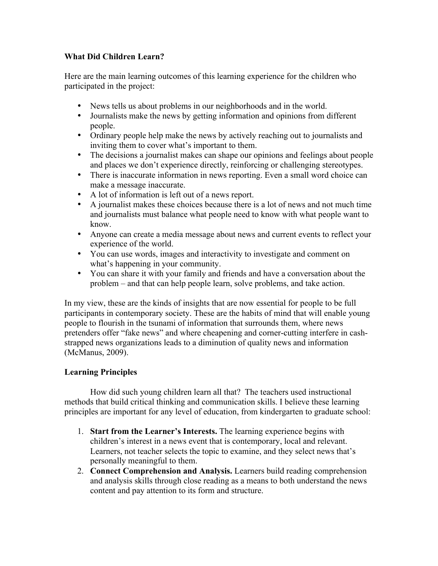# **What Did Children Learn?**

Here are the main learning outcomes of this learning experience for the children who participated in the project:

- News tells us about problems in our neighborhoods and in the world.
- Journalists make the news by getting information and opinions from different people.
- Ordinary people help make the news by actively reaching out to journalists and inviting them to cover what's important to them.
- The decisions a journalist makes can shape our opinions and feelings about people and places we don't experience directly, reinforcing or challenging stereotypes.
- There is inaccurate information in news reporting. Even a small word choice can make a message inaccurate.
- A lot of information is left out of a news report.
- A journalist makes these choices because there is a lot of news and not much time and journalists must balance what people need to know with what people want to know.
- Anyone can create a media message about news and current events to reflect your experience of the world.
- You can use words, images and interactivity to investigate and comment on what's happening in your community.
- You can share it with your family and friends and have a conversation about the problem – and that can help people learn, solve problems, and take action.

In my view, these are the kinds of insights that are now essential for people to be full participants in contemporary society. These are the habits of mind that will enable young people to flourish in the tsunami of information that surrounds them, where news pretenders offer "fake news" and where cheapening and corner-cutting interfere in cashstrapped news organizations leads to a diminution of quality news and information (McManus, 2009).

# **Learning Principles**

How did such young children learn all that? The teachers used instructional methods that build critical thinking and communication skills. I believe these learning principles are important for any level of education, from kindergarten to graduate school:

- 1. **Start from the Learner's Interests.** The learning experience begins with children's interest in a news event that is contemporary, local and relevant. Learners, not teacher selects the topic to examine, and they select news that's personally meaningful to them.
- 2. **Connect Comprehension and Analysis.** Learners build reading comprehension and analysis skills through close reading as a means to both understand the news content and pay attention to its form and structure.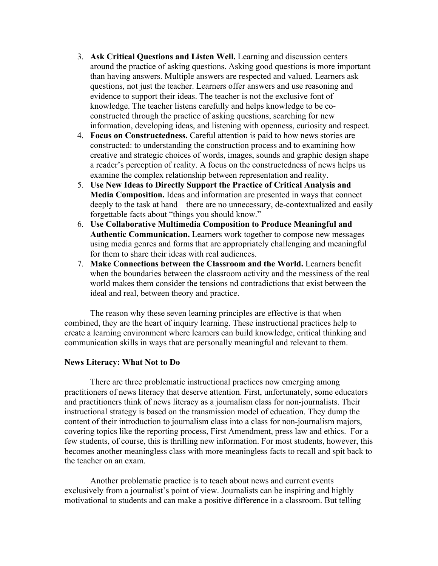- 3. **Ask Critical Questions and Listen Well.** Learning and discussion centers around the practice of asking questions. Asking good questions is more important than having answers. Multiple answers are respected and valued. Learners ask questions, not just the teacher. Learners offer answers and use reasoning and evidence to support their ideas. The teacher is not the exclusive font of knowledge. The teacher listens carefully and helps knowledge to be coconstructed through the practice of asking questions, searching for new information, developing ideas, and listening with openness, curiosity and respect.
- 4. **Focus on Constructedness.** Careful attention is paid to how news stories are constructed: to understanding the construction process and to examining how creative and strategic choices of words, images, sounds and graphic design shape a reader's perception of reality. A focus on the constructedness of news helps us examine the complex relationship between representation and reality.
- 5. **Use New Ideas to Directly Support the Practice of Critical Analysis and Media Composition.** Ideas and information are presented in ways that connect deeply to the task at hand—there are no unnecessary, de-contextualized and easily forgettable facts about "things you should know."
- 6. **Use Collaborative Multimedia Composition to Produce Meaningful and Authentic Communication.** Learners work together to compose new messages using media genres and forms that are appropriately challenging and meaningful for them to share their ideas with real audiences.
- 7. **Make Connections between the Classroom and the World.** Learners benefit when the boundaries between the classroom activity and the messiness of the real world makes them consider the tensions nd contradictions that exist between the ideal and real, between theory and practice.

The reason why these seven learning principles are effective is that when combined, they are the heart of inquiry learning. These instructional practices help to create a learning environment where learners can build knowledge, critical thinking and communication skills in ways that are personally meaningful and relevant to them.

## **News Literacy: What Not to Do**

There are three problematic instructional practices now emerging among practitioners of news literacy that deserve attention. First, unfortunately, some educators and practitioners think of news literacy as a journalism class for non-journalists. Their instructional strategy is based on the transmission model of education. They dump the content of their introduction to journalism class into a class for non-journalism majors, covering topics like the reporting process, First Amendment, press law and ethics. For a few students, of course, this is thrilling new information. For most students, however, this becomes another meaningless class with more meaningless facts to recall and spit back to the teacher on an exam.

Another problematic practice is to teach about news and current events exclusively from a journalist's point of view. Journalists can be inspiring and highly motivational to students and can make a positive difference in a classroom. But telling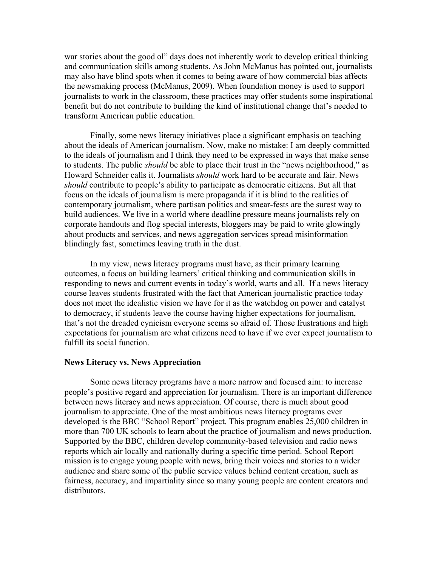war stories about the good ol" days does not inherently work to develop critical thinking and communication skills among students. As John McManus has pointed out, journalists may also have blind spots when it comes to being aware of how commercial bias affects the newsmaking process (McManus, 2009). When foundation money is used to support journalists to work in the classroom, these practices may offer students some inspirational benefit but do not contribute to building the kind of institutional change that's needed to transform American public education.

Finally, some news literacy initiatives place a significant emphasis on teaching about the ideals of American journalism. Now, make no mistake: I am deeply committed to the ideals of journalism and I think they need to be expressed in ways that make sense to students. The public *should* be able to place their trust in the "news neighborhood," as Howard Schneider calls it. Journalists *should* work hard to be accurate and fair. News *should* contribute to people's ability to participate as democratic citizens. But all that focus on the ideals of journalism is mere propaganda if it is blind to the realities of contemporary journalism, where partisan politics and smear-fests are the surest way to build audiences. We live in a world where deadline pressure means journalists rely on corporate handouts and flog special interests, bloggers may be paid to write glowingly about products and services, and news aggregation services spread misinformation blindingly fast, sometimes leaving truth in the dust.

In my view, news literacy programs must have, as their primary learning outcomes, a focus on building learners' critical thinking and communication skills in responding to news and current events in today's world, warts and all. If a news literacy course leaves students frustrated with the fact that American journalistic practice today does not meet the idealistic vision we have for it as the watchdog on power and catalyst to democracy, if students leave the course having higher expectations for journalism, that's not the dreaded cynicism everyone seems so afraid of. Those frustrations and high expectations for journalism are what citizens need to have if we ever expect journalism to fulfill its social function.

### **News Literacy vs. News Appreciation**

Some news literacy programs have a more narrow and focused aim: to increase people's positive regard and appreciation for journalism. There is an important difference between news literacy and news appreciation. Of course, there is much about good journalism to appreciate. One of the most ambitious news literacy programs ever developed is the BBC "School Report" project. This program enables 25,000 children in more than 700 UK schools to learn about the practice of journalism and news production. Supported by the BBC, children develop community-based television and radio news reports which air locally and nationally during a specific time period. School Report mission is to engage young people with news, bring their voices and stories to a wider audience and share some of the public service values behind content creation, such as fairness, accuracy, and impartiality since so many young people are content creators and distributors.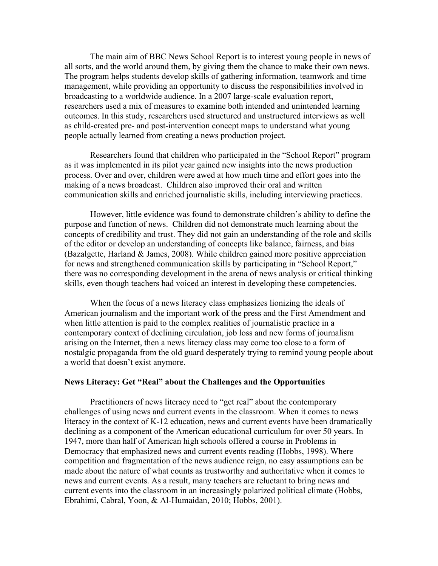The main aim of BBC News School Report is to interest young people in news of all sorts, and the world around them, by giving them the chance to make their own news. The program helps students develop skills of gathering information, teamwork and time management, while providing an opportunity to discuss the responsibilities involved in broadcasting to a worldwide audience. In a 2007 large-scale evaluation report, researchers used a mix of measures to examine both intended and unintended learning outcomes. In this study, researchers used structured and unstructured interviews as well as child-created pre- and post-intervention concept maps to understand what young people actually learned from creating a news production project.

Researchers found that children who participated in the "School Report" program as it was implemented in its pilot year gained new insights into the news production process. Over and over, children were awed at how much time and effort goes into the making of a news broadcast. Children also improved their oral and written communication skills and enriched journalistic skills, including interviewing practices.

However, little evidence was found to demonstrate children's ability to define the purpose and function of news. Children did not demonstrate much learning about the concepts of credibility and trust. They did not gain an understanding of the role and skills of the editor or develop an understanding of concepts like balance, fairness, and bias (Bazalgette, Harland & James, 2008). While children gained more positive appreciation for news and strengthened communication skills by participating in "School Report," there was no corresponding development in the arena of news analysis or critical thinking skills, even though teachers had voiced an interest in developing these competencies.

When the focus of a news literacy class emphasizes lionizing the ideals of American journalism and the important work of the press and the First Amendment and when little attention is paid to the complex realities of journalistic practice in a contemporary context of declining circulation, job loss and new forms of journalism arising on the Internet, then a news literacy class may come too close to a form of nostalgic propaganda from the old guard desperately trying to remind young people about a world that doesn't exist anymore.

### **News Literacy: Get "Real" about the Challenges and the Opportunities**

Practitioners of news literacy need to "get real" about the contemporary challenges of using news and current events in the classroom. When it comes to news literacy in the context of K-12 education, news and current events have been dramatically declining as a component of the American educational curriculum for over 50 years. In 1947, more than half of American high schools offered a course in Problems in Democracy that emphasized news and current events reading (Hobbs, 1998). Where competition and fragmentation of the news audience reign, no easy assumptions can be made about the nature of what counts as trustworthy and authoritative when it comes to news and current events. As a result, many teachers are reluctant to bring news and current events into the classroom in an increasingly polarized political climate (Hobbs, Ebrahimi, Cabral, Yoon, & Al-Humaidan, 2010; Hobbs, 2001).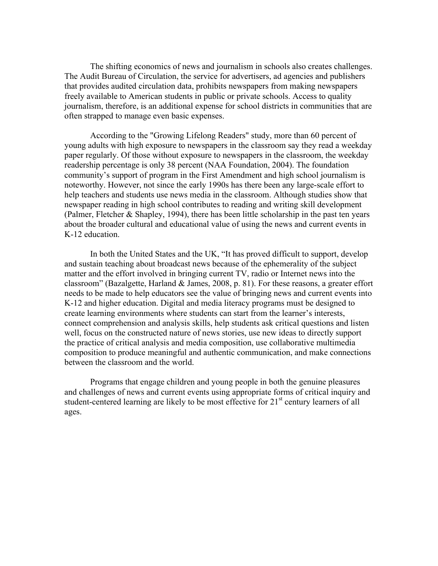The shifting economics of news and journalism in schools also creates challenges. The Audit Bureau of Circulation, the service for advertisers, ad agencies and publishers that provides audited circulation data, prohibits newspapers from making newspapers freely available to American students in public or private schools. Access to quality journalism, therefore, is an additional expense for school districts in communities that are often strapped to manage even basic expenses.

According to the "Growing Lifelong Readers" study, more than 60 percent of young adults with high exposure to newspapers in the classroom say they read a weekday paper regularly. Of those without exposure to newspapers in the classroom, the weekday readership percentage is only 38 percent (NAA Foundation, 2004). The foundation community's support of program in the First Amendment and high school journalism is noteworthy. However, not since the early 1990s has there been any large-scale effort to help teachers and students use news media in the classroom. Although studies show that newspaper reading in high school contributes to reading and writing skill development (Palmer, Fletcher & Shapley, 1994), there has been little scholarship in the past ten years about the broader cultural and educational value of using the news and current events in K-12 education.

In both the United States and the UK, "It has proved difficult to support, develop and sustain teaching about broadcast news because of the ephemerality of the subject matter and the effort involved in bringing current TV, radio or Internet news into the classroom" (Bazalgette, Harland & James, 2008, p. 81). For these reasons, a greater effort needs to be made to help educators see the value of bringing news and current events into K-12 and higher education. Digital and media literacy programs must be designed to create learning environments where students can start from the learner's interests, connect comprehension and analysis skills, help students ask critical questions and listen well, focus on the constructed nature of news stories, use new ideas to directly support the practice of critical analysis and media composition, use collaborative multimedia composition to produce meaningful and authentic communication, and make connections between the classroom and the world.

Programs that engage children and young people in both the genuine pleasures and challenges of news and current events using appropriate forms of critical inquiry and student-centered learning are likely to be most effective for 21<sup>st</sup> century learners of all ages.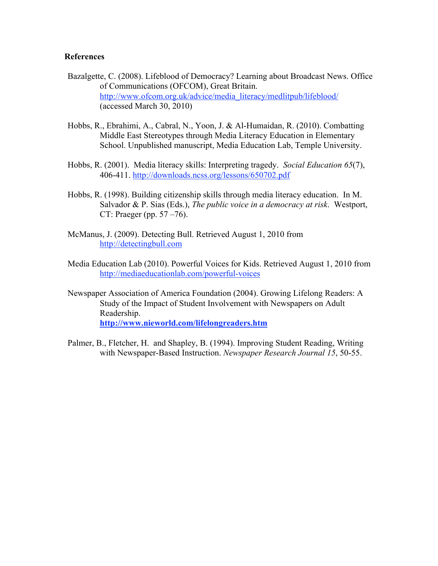# **References**

- Bazalgette, C. (2008). Lifeblood of Democracy? Learning about Broadcast News. Office of Communications (OFCOM), Great Britain. http://www.ofcom.org.uk/advice/media\_literacy/medlitpub/lifeblood/ (accessed March 30, 2010)
- Hobbs, R., Ebrahimi, A., Cabral, N., Yoon, J. & Al-Humaidan, R. (2010). Combatting Middle East Stereotypes through Media Literacy Education in Elementary School. Unpublished manuscript, Media Education Lab, Temple University.
- Hobbs, R. (2001). Media literacy skills: Interpreting tragedy. *Social Education 65*(7), 406-411. http://downloads.ncss.org/lessons/650702.pdf
- Hobbs, R. (1998). Building citizenship skills through media literacy education. In M. Salvador & P. Sias (Eds.), *The public voice in a democracy at risk*. Westport, CT: Praeger (pp. 57 –76).
- McManus, J. (2009). Detecting Bull. Retrieved August 1, 2010 from http://detectingbull.com
- Media Education Lab (2010). Powerful Voices for Kids. Retrieved August 1, 2010 from http://mediaeducationlab.com/powerful-voices
- Newspaper Association of America Foundation (2004). Growing Lifelong Readers: A Study of the Impact of Student Involvement with Newspapers on Adult Readership. **http://www.nieworld.com/lifelongreaders.htm**
- Palmer, B., Fletcher, H. and Shapley, B. (1994). Improving Student Reading, Writing with Newspaper-Based Instruction. *Newspaper Research Journal 15*, 50-55.